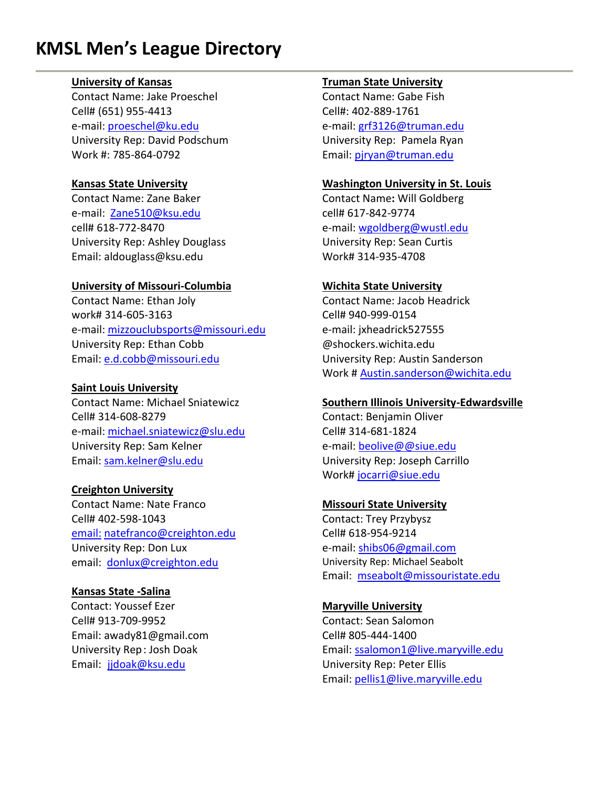# **KMSL Men's League Directory**

#### **University of Kansas**

Contact Name: Jake Proeschel Cell# (651) 955-4413 e-mail: [proeschel@ku.edu](mailto:proeschel@ku.edu) University Rep: David Podschum Work #: 785-864-0792

#### **Kansas State University**

Contact Name: Zane Baker e-mail: [Zane510@ksu.edu](mailto:Zane510@ksu.edu) cell# 618-772-8470 University Rep: Ashley Douglass Email: aldouglass@ksu.edu

#### **University of Missouri-Columbia**

Contact Name: Ethan Joly work# 314-605-3163 e-mail: [mizzouclubsports@missouri.edu](mailto:mizzouclubsports@missouri.edu) University Rep: Ethan Cobb Email: [e.d.cobb@missouri.edu](mailto:e.d.cobb@missouri.edu)

### **Saint Louis University**

Contact Name: Michael Sniatewicz Cell# 314-608-8279 e-mail: [michael.sniatewicz@slu.edu](mailto:michael.sniatewicz@slu.edu) University Rep: Sam Kelner Email: [sam.kelner@slu.edu](mailto:sam.kelner@slu.edu)

#### **Creighton University**

Contact Name: Nate Franco Cell# 402-598-1043 [email:](mailto:email:) [natefranco@creighton.edu](mailto:natefranco@creighton.edu) University Rep: Don Lux email: [donlux@creighton.edu](mailto:donlux@creighton.edu)

# **Kansas State -Salina**

 Contact: Youssef Ezer **Maryville University** Cell# 913-709-9952 Contact: Sean Salomon Email: awady81@gmail.com Cell# 805-444-1400 Email: [jjdoak@ksu.edu](mailto:jjdoak@ksu.edu) University Rep: Peter Ellis

#### **Truman State University**

Contact Name: Gabe Fish Cell#: 402-889-1761 e-mail: [grf3126@truman.edu](mailto:grf3126@truman.edu) University Rep: Pamela Ryan Email[: pjryan@truman.edu](mailto:pjryan@truman.edu)

#### **Washington University in St. Louis**

Contact Name**:** Will Goldberg cell# 617-842-9774 e-mail: [wgoldberg@wustl.edu](mailto:wgoldberg@wustl.edu) University Rep: Sean Curtis Work# 314-935-4708

#### **Wichita State University**

Contact Name: Jacob Headrick Cell# 940-999-0154 e-mail: jxheadrick527555 @shockers.wichita.edu University Rep: Austin Sanderson Work # [Austin.sanderson@wichita.edu](mailto:Austin.sanderson@wichita.edu)

#### **Southern Illinois University-Edwardsville**

Contact: Benjamin Oliver Cell# 314-681-1824 e-mail: [beolive@@siue.edu](mailto:nschuet@siue.edu) University Rep: Joseph Carrillo Work# [jocarri@siue.edu](mailto:jocarri@siue.edu)

# **Missouri State University**

Contact: Trey Przybysz Cell# 618-954-9214 e-mail: [shibs06@gmail.com](mailto:shibs06@gmail.com) University Rep: Michael Seabolt Email: [mseabolt@missouristate.edu](mailto:mseabolt@missouristate.edu)

University Rep: Josh Doak Email[: ssalomon1@live.maryville.edu](mailto:ssalomon1@live.maryville.edu) Email[: pellis1@live.maryville.edu](mailto:pellis1@live.maryville.edu)